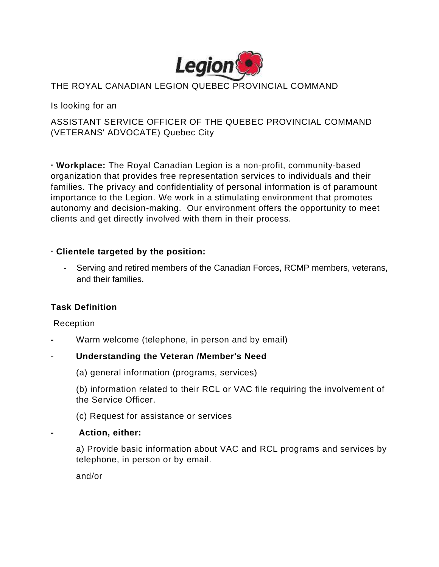

### THE ROYAL CANADIAN LEGION QUEBEC PROVINCIAL COMMAND

Is looking for an

## ASSISTANT SERVICE OFFICER OF THE QUEBEC PROVINCIAL COMMAND (VETERANS' ADVOCATE) Quebec City

**∙ Workplace:** The Royal Canadian Legion is a non-profit, community-based organization that provides free representation services to individuals and their families. The privacy and confidentiality of personal information is of paramount importance to the Legion. We work in a stimulating environment that promotes autonomy and decision-making. Our environment offers the opportunity to meet clients and get directly involved with them in their process.

### **∙ Clientele targeted by the position:**

Serving and retired members of the Canadian Forces, RCMP members, veterans, and their families.

### **Task Definition**

#### Reception

**-** Warm welcome (telephone, in person and by email)

### - **Understanding the Veteran /Member's Need**

(a) general information (programs, services)

(b) information related to their RCL or VAC file requiring the involvement of the Service Officer.

(c) Request for assistance or services

#### **- Action, either:**

a) Provide basic information about VAC and RCL programs and services by telephone, in person or by email.

and/or